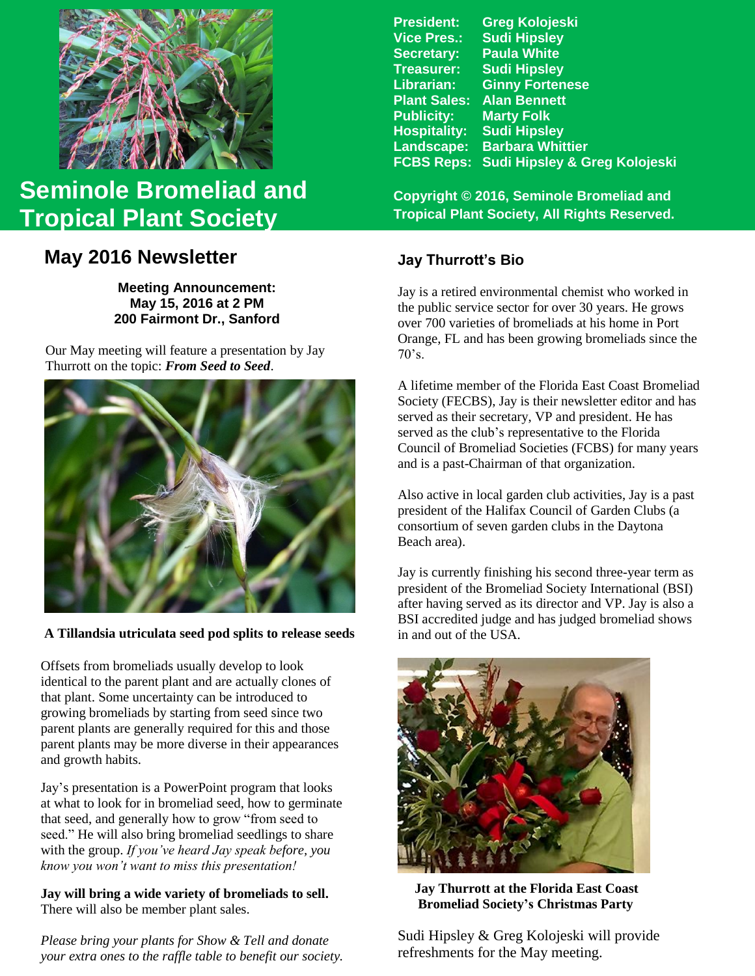

# **Seminole Bromeliad and Tropical Plant Society**

# **May 2016 Newsletter**

**Meeting Announcement: May 15, 2016 at 2 PM 200 Fairmont Dr., Sanford**

Our May meeting will feature a presentation by Jay Thurrott on the topic: *From Seed to Seed*.



**A Tillandsia utriculata seed pod splits to release seeds**

Offsets from bromeliads usually develop to look identical to the parent plant and are actually clones of that plant. Some uncertainty can be introduced to growing bromeliads by starting from seed since two parent plants are generally required for this and those parent plants may be more diverse in their appearances and growth habits.

Jay's presentation is a PowerPoint program that looks at what to look for in bromeliad seed, how to germinate that seed, and generally how to grow "from seed to seed." He will also bring bromeliad seedlings to share with the group. *If you've heard Jay speak before, you know you won't want to miss this presentation!*

#### **Jay will bring a wide variety of bromeliads to sell.** There will also be member plant sales.

*Please bring your plants for Show & Tell and donate your extra ones to the raffle table to benefit our society.*

| <b>President:</b>   | <b>Greg Kolojeski</b>         |
|---------------------|-------------------------------|
| <b>Vice Pres.:</b>  | <b>Sudi Hipsley</b>           |
| <b>Secretary:</b>   | <b>Paula White</b>            |
| <b>Treasurer:</b>   | <b>Sudi Hipsley</b>           |
| Librarian:          | <b>Ginny Fortenese</b>        |
| <b>Plant Sales:</b> | <b>Alan Bennett</b>           |
| <b>Publicity:</b>   | <b>Marty Folk</b>             |
| <b>Hospitality:</b> | <b>Sudi Hipsley</b>           |
| Landscape:          | <b>Barbara Whittier</b>       |
| <b>FCBS Reps:</b>   | Sudi Hipsley & Greg Kolojeski |
|                     |                               |

**Copyright © 2016, Seminole Bromeliad and Tropical Plant Society, All Rights Reserved.**

# **Jay Thurrott's Bio**

Jay is a retired environmental chemist who worked in the public service sector for over 30 years. He grows over 700 varieties of bromeliads at his home in Port Orange, FL and has been growing bromeliads since the  $70's.$ 

A lifetime member of the Florida East Coast Bromeliad Society (FECBS), Jay is their newsletter editor and has served as their secretary, VP and president. He has served as the club's representative to the Florida Council of Bromeliad Societies (FCBS) for many years and is a past-Chairman of that organization.

Also active in local garden club activities, Jay is a past president of the Halifax Council of Garden Clubs (a consortium of seven garden clubs in the Daytona Beach area).

Jay is currently finishing his second three-year term as president of the Bromeliad Society International (BSI) after having served as its director and VP. Jay is also a BSI accredited judge and has judged bromeliad shows in and out of the USA.



 **Jay Thurrott at the Florida East Coast Bromeliad Society's Christmas Party**

Sudi Hipsley & Greg Kolojeski will provide refreshments for the May meeting.